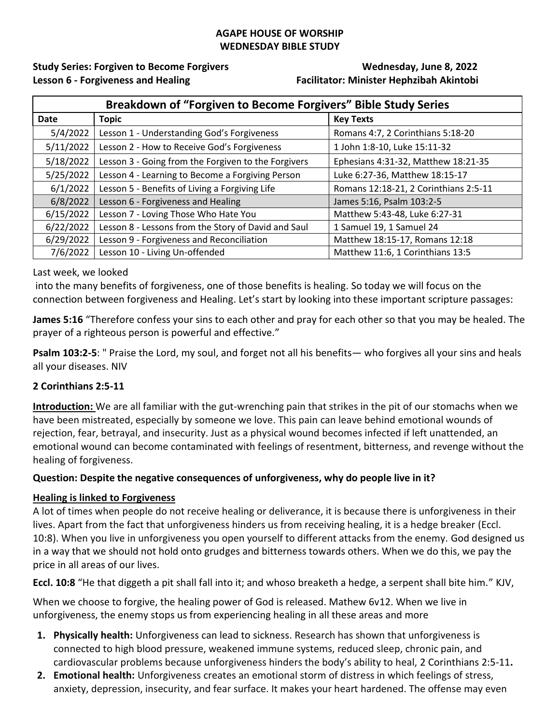#### **AGAPE HOUSE OF WORSHIP WEDNESDAY BIBLE STUDY**

**Study Series: Forgiven to Become Forgivers Wednesday, June 8, 2022 Lesson 6 - Forgiveness and Healing Facilitator: Minister Hephzibah Akintobi**

| Breakdown of "Forgiven to Become Forgivers" Bible Study Series |                                                     |                                       |
|----------------------------------------------------------------|-----------------------------------------------------|---------------------------------------|
| Date                                                           | <b>Topic</b>                                        | <b>Key Texts</b>                      |
| 5/4/2022                                                       | Lesson 1 - Understanding God's Forgiveness          | Romans 4:7, 2 Corinthians 5:18-20     |
| 5/11/2022                                                      | Lesson 2 - How to Receive God's Forgiveness         | 1 John 1:8-10, Luke 15:11-32          |
| 5/18/2022                                                      | Lesson 3 - Going from the Forgiven to the Forgivers | Ephesians 4:31-32, Matthew 18:21-35   |
| 5/25/2022                                                      | Lesson 4 - Learning to Become a Forgiving Person    | Luke 6:27-36, Matthew 18:15-17        |
| 6/1/2022                                                       | Lesson 5 - Benefits of Living a Forgiving Life      | Romans 12:18-21, 2 Corinthians 2:5-11 |
| 6/8/2022                                                       | Lesson 6 - Forgiveness and Healing                  | James 5:16, Psalm 103:2-5             |
| 6/15/2022                                                      | Lesson 7 - Loving Those Who Hate You                | Matthew 5:43-48, Luke 6:27-31         |
| 6/22/2022                                                      | Lesson 8 - Lessons from the Story of David and Saul | 1 Samuel 19, 1 Samuel 24              |
| 6/29/2022                                                      | Lesson 9 - Forgiveness and Reconciliation           | Matthew 18:15-17, Romans 12:18        |
| 7/6/2022                                                       | Lesson 10 - Living Un-offended                      | Matthew 11:6, 1 Corinthians 13:5      |

Last week, we looked

into the many benefits of forgiveness, one of those benefits is healing. So today we will focus on the connection between forgiveness and Healing. Let's start by looking into these important scripture passages:

**James 5:16** "Therefore confess your sins to each other and pray for each other so that you may be healed. The prayer of a righteous person is powerful and effective."

**Psalm 103:2-5**: " Praise the Lord, my soul, and forget not all his benefits— who forgives all your sins and heals all your diseases. NIV

# **2 Corinthians 2:5-11**

**Introduction:** We are all familiar with the gut-wrenching pain that strikes in the pit of our stomachs when we have been mistreated, especially by someone we love. This pain can leave behind emotional wounds of rejection, fear, betrayal, and insecurity. Just as a physical wound becomes infected if left unattended, an emotional wound can become contaminated with feelings of resentment, bitterness, and revenge without the healing of forgiveness.

# **Question: Despite the negative consequences of unforgiveness, why do people live in it?**

#### **Healing is linked to Forgiveness**

A lot of times when people do not receive healing or deliverance, it is because there is unforgiveness in their lives. Apart from the fact that unforgiveness hinders us from receiving healing, it is a hedge breaker (Eccl. 10:8). When you live in unforgiveness you open yourself to different attacks from the enemy. God designed us in a way that we should not hold onto grudges and bitterness towards others. When we do this, we pay the price in all areas of our lives.

**Eccl. 10:8** "He that diggeth a pit shall fall into it; and whoso breaketh a hedge, a serpent shall bite him." KJV,

When we choose to forgive, the healing power of God is released. Mathew 6v12. When we live in unforgiveness, the enemy stops us from experiencing healing in all these areas and more

- **1. Physically health:** Unforgiveness can lead to sickness. Research has shown that unforgiveness is connected to high blood pressure, weakened immune systems, reduced sleep, chronic pain, and cardiovascular problems because unforgiveness hinders the body's ability to heal, 2 Corinthians 2:5-11**.**
- **2. Emotional health:** Unforgiveness creates an emotional storm of distress in which feelings of stress, anxiety, depression, insecurity, and fear surface. It makes your heart hardened. The offense may even